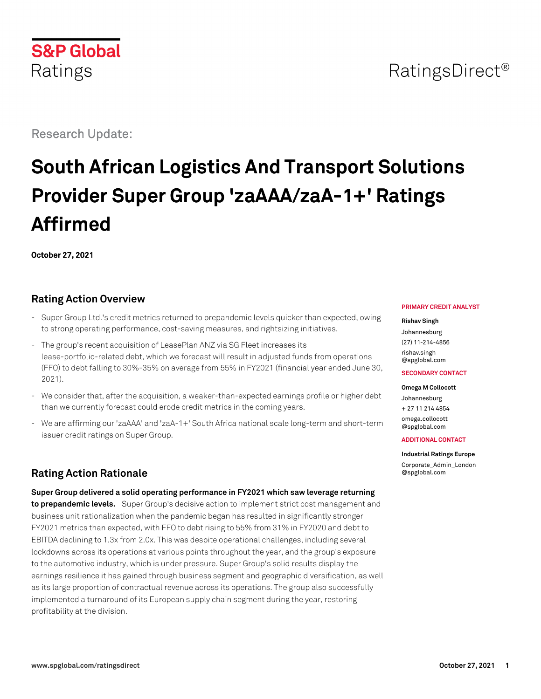## **S&P Global** Ratings

Research Update:

# **South African Logistics And Transport Solutions Provider Super Group 'zaAAA/zaA-1+' Ratings Affirmed**

**October 27, 2021**

## **Rating Action Overview**

- Super Group Ltd.'s credit metrics returned to prepandemic levels quicker than expected, owing to strong operating performance, cost-saving measures, and rightsizing initiatives.
- The group's recent acquisition of LeasePlan ANZ via SG Fleet increases its lease-portfolio-related debt, which we forecast will result in adjusted funds from operations (FFO) to debt falling to 30%-35% on average from 55% in FY2021 (financial year ended June 30, 2021).
- We consider that, after the acquisition, a weaker-than-expected earnings profile or higher debt than we currently forecast could erode credit metrics in the coming years.
- We are affirming our 'zaAAA' and 'zaA-1+' South Africa national scale long-term and short-term issuer credit ratings on Super Group.

## **Rating Action Rationale**

**Super Group delivered a solid operating performance in FY2021 which saw leverage returning to prepandemic levels.** Super Group's decisive action to implement strict cost management and business unit rationalization when the pandemic began has resulted in significantly stronger FY2021 metrics than expected, with FFO to debt rising to 55% from 31% in FY2020 and debt to EBITDA declining to 1.3x from 2.0x. This was despite operational challenges, including several lockdowns across its operations at various points throughout the year, and the group's exposure to the automotive industry, which is under pressure. Super Group's solid results display the earnings resilience it has gained through business segment and geographic diversification, as well as its large proportion of contractual revenue across its operations. The group also successfully implemented a turnaround of its European supply chain segment during the year, restoring profitability at the division.

#### **PRIMARY CREDIT ANALYST**

## **Rishav Singh**

Johannesburg (27) 11-214-4856 [rishav.singh](mailto:rishav.singh@spglobal.com) [@spglobal.com](mailto:rishav.singh@spglobal.com)

#### **SECONDARY CONTACT**

**Omega M Collocott** Johannesburg + 27 11 214 4854 [omega.collocott](mailto:omega.collocott@spglobal.com) [@spglobal.com](mailto:omega.collocott@spglobal.com)

#### **ADDITIONAL CONTACT**

**Industrial Ratings Europe**

[Corporate\\_Admin\\_London](mailto:Corporate_Admin_London@spglobal.com) [@spglobal.com](mailto:Corporate_Admin_London@spglobal.com)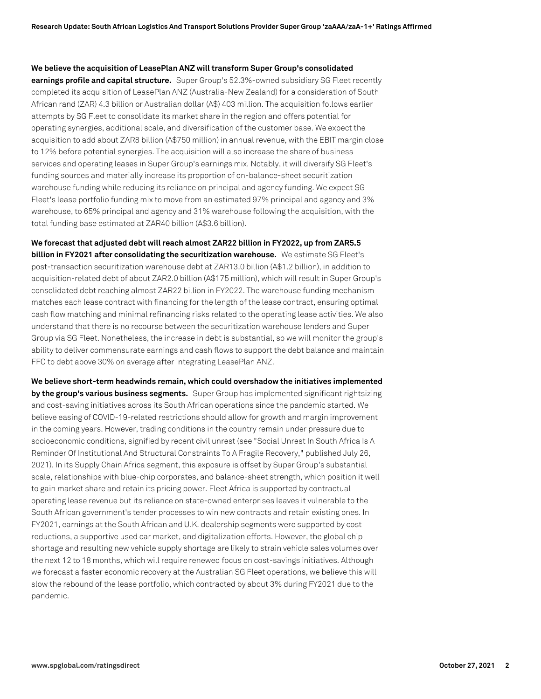#### **We believe the acquisition of LeasePlan ANZ will transform Super Group's consolidated**

**earnings profile and capital structure.** Super Group's 52.3%-owned subsidiary SG Fleet recently completed its acquisition of LeasePlan ANZ (Australia-New Zealand) for a consideration of South African rand (ZAR) 4.3 billion or Australian dollar (A\$) 403 million. The acquisition follows earlier attempts by SG Fleet to consolidate its market share in the region and offers potential for operating synergies, additional scale, and diversification of the customer base. We expect the acquisition to add about ZAR8 billion (A\$750 million) in annual revenue, with the EBIT margin close to 12% before potential synergies. The acquisition will also increase the share of business services and operating leases in Super Group's earnings mix. Notably, it will diversify SG Fleet's funding sources and materially increase its proportion of on-balance-sheet securitization warehouse funding while reducing its reliance on principal and agency funding. We expect SG Fleet's lease portfolio funding mix to move from an estimated 97% principal and agency and 3% warehouse, to 65% principal and agency and 31% warehouse following the acquisition, with the total funding base estimated at ZAR40 billion (A\$3.6 billion).

**We forecast that adjusted debt will reach almost ZAR22 billion in FY2022, up from ZAR5.5 billion in FY2021 after consolidating the securitization warehouse.** We estimate SG Fleet's post-transaction securitization warehouse debt at ZAR13.0 billion (A\$1.2 billion), in addition to acquisition-related debt of about ZAR2.0 billion (A\$175 million), which will result in Super Group's consolidated debt reaching almost ZAR22 billion in FY2022. The warehouse funding mechanism matches each lease contract with financing for the length of the lease contract, ensuring optimal cash flow matching and minimal refinancing risks related to the operating lease activities. We also understand that there is no recourse between the securitization warehouse lenders and Super Group via SG Fleet. Nonetheless, the increase in debt is substantial, so we will monitor the group's ability to deliver commensurate earnings and cash flows to support the debt balance and maintain FFO to debt above 30% on average after integrating LeasePlan ANZ.

**We believe short-term headwinds remain, which could overshadow the initiatives implemented by the group's various business segments.** Super Group has implemented significant rightsizing and cost-saving initiatives across its South African operations since the pandemic started. We believe easing of COVID-19-related restrictions should allow for growth and margin improvement in the coming years. However, trading conditions in the country remain under pressure due to socioeconomic conditions, signified by recent civil unrest (see "Social Unrest In South Africa Is A Reminder Of Institutional And Structural Constraints To A Fragile Recovery," published July 26, 2021). In its Supply Chain Africa segment, this exposure is offset by Super Group's substantial scale, relationships with blue-chip corporates, and balance-sheet strength, which position it well to gain market share and retain its pricing power. Fleet Africa is supported by contractual operating lease revenue but its reliance on state-owned enterprises leaves it vulnerable to the South African government's tender processes to win new contracts and retain existing ones. In FY2021, earnings at the South African and U.K. dealership segments were supported by cost reductions, a supportive used car market, and digitalization efforts. However, the global chip shortage and resulting new vehicle supply shortage are likely to strain vehicle sales volumes over the next 12 to 18 months, which will require renewed focus on cost-savings initiatives. Although we forecast a faster economic recovery at the Australian SG Fleet operations, we believe this will slow the rebound of the lease portfolio, which contracted by about 3% during FY2021 due to the pandemic.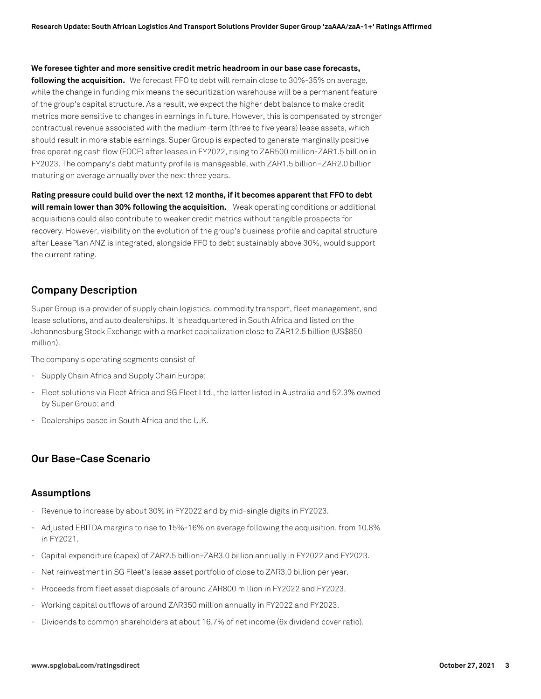**We foresee tighter and more sensitive credit metric headroom in our base case forecasts,**

**following the acquisition.** We forecast FFO to debt will remain close to 30%-35% on average, while the change in funding mix means the securitization warehouse will be a permanent feature of the group's capital structure. As a result, we expect the higher debt balance to make credit metrics more sensitive to changes in earnings in future. However, this is compensated by stronger contractual revenue associated with the medium-term (three to five years) lease assets, which should result in more stable earnings. Super Group is expected to generate marginally positive free operating cash flow (FOCF) after leases in FY2022, rising to ZAR500 million-ZAR1.5 billion in FY2023. The company's debt maturity profile is manageable, with ZAR1.5 billion–ZAR2.0 billion maturing on average annually over the next three years.

**Rating pressure could build over the next 12 months, if it becomes apparent that FFO to debt will remain lower than 30% following the acquisition.** Weak operating conditions or additional acquisitions could also contribute to weaker credit metrics without tangible prospects for recovery. However, visibility on the evolution of the group's business profile and capital structure after LeasePlan ANZ is integrated, alongside FFO to debt sustainably above 30%, would support the current rating.

## **Company Description**

Super Group is a provider of supply chain logistics, commodity transport, fleet management, and lease solutions, and auto dealerships. It is headquartered in South Africa and listed on the Johannesburg Stock Exchange with a market capitalization close to ZAR12.5 billion (US\$850 million).

The company's operating segments consist of

- Supply Chain Africa and Supply Chain Europe;
- Fleet solutions via Fleet Africa and SG Fleet Ltd., the latter listed in Australia and 52.3% owned by Super Group; and
- Dealerships based in South Africa and the U.K.

## **Our Base-Case Scenario**

#### **Assumptions**

- Revenue to increase by about 30% in FY2022 and by mid-single digits in FY2023.
- Adjusted EBITDA margins to rise to 15%-16% on average following the acquisition, from 10.8% in FY2021.
- Capital expenditure (capex) of ZAR2.5 billion-ZAR3.0 billion annually in FY2022 and FY2023.
- Net reinvestment in SG Fleet's lease asset portfolio of close to ZAR3.0 billion per year.
- Proceeds from fleet asset disposals of around ZAR800 million in FY2022 and FY2023.
- Working capital outflows of around ZAR350 million annually in FY2022 and FY2023.
- Dividends to common shareholders at about 16.7% of net income (6x dividend cover ratio).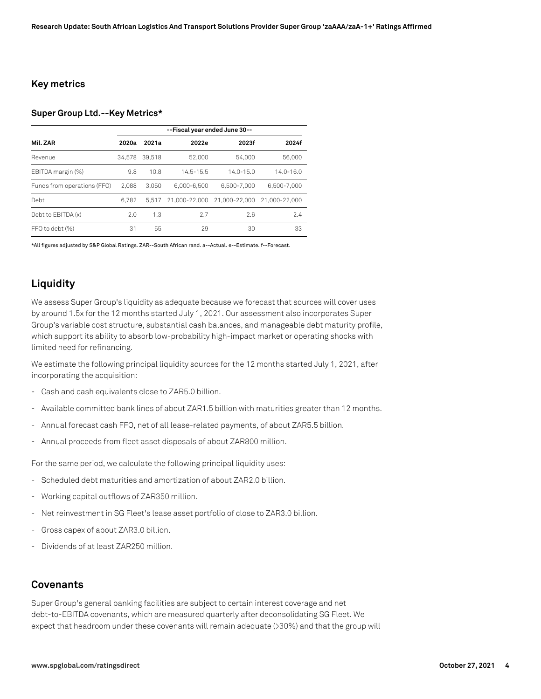#### **Key metrics**

#### **Super Group Ltd.--Key Metrics\***

|                             | --Fiscal year ended June 30-- |        |               |               |               |
|-----------------------------|-------------------------------|--------|---------------|---------------|---------------|
| Mil. ZAR                    | 2020a                         | 2021a  | 2022e         | 2023f         | 2024f         |
| Revenue                     | 34.578                        | 39.518 | 52,000        | 54,000        | 56,000        |
| EBITDA margin (%)           | 9.8                           | 10.8   | $14.5 - 15.5$ | $14.0 - 15.0$ | $14.0 - 16.0$ |
| Funds from operations (FFO) | 2.088                         | 3.050  | 6,000-6,500   | 6.500-7.000   | 6.500-7.000   |
| Debt                        | 6.782                         | 5.517  | 21.000-22.000 | 21.000-22.000 | 21.000-22.000 |
| Debt to EBITDA (x)          | 2.0                           | 1.3    | 2.7           | 7.6           | 7.4           |
| FFO to debt (%)             | 31                            | 55     | 29            | 30            | 33            |

\*All figures adjusted by S&P Global Ratings. ZAR--South African rand. a--Actual. e--Estimate. f--Forecast.

## **Liquidity**

We assess Super Group's liquidity as adequate because we forecast that sources will cover uses by around 1.5x for the 12 months started July 1, 2021. Our assessment also incorporates Super Group's variable cost structure, substantial cash balances, and manageable debt maturity profile, which support its ability to absorb low-probability high-impact market or operating shocks with limited need for refinancing.

We estimate the following principal liquidity sources for the 12 months started July 1, 2021, after incorporating the acquisition:

- Cash and cash equivalents close to ZAR5.0 billion.
- Available committed bank lines of about ZAR1.5 billion with maturities greater than 12 months.
- Annual forecast cash FFO, net of all lease-related payments, of about ZAR5.5 billion.
- Annual proceeds from fleet asset disposals of about ZAR800 million.

For the same period, we calculate the following principal liquidity uses:

- Scheduled debt maturities and amortization of about ZAR2.0 billion.
- Working capital outflows of ZAR350 million.
- Net reinvestment in SG Fleet's lease asset portfolio of close to ZAR3.0 billion.
- Gross capex of about ZAR3.0 billion.
- Dividends of at least ZAR250 million.

#### **Covenants**

Super Group's general banking facilities are subject to certain interest coverage and net debt-to-EBITDA covenants, which are measured quarterly after deconsolidating SG Fleet. We expect that headroom under these covenants will remain adequate (>30%) and that the group will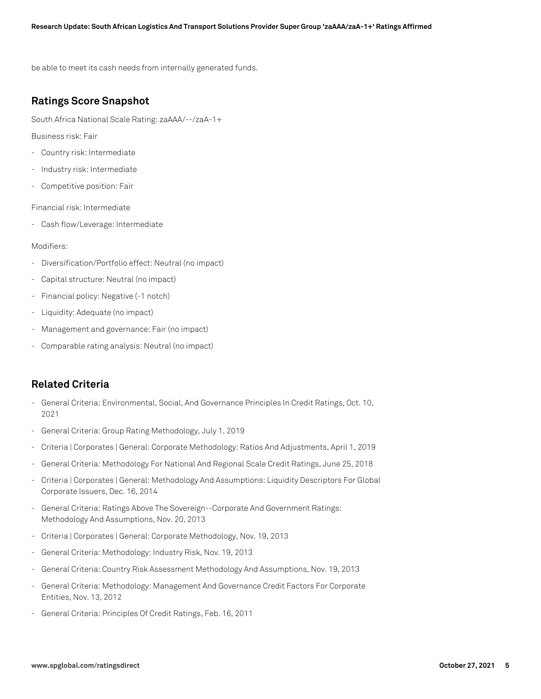be able to meet its cash needs from internally generated funds.

## **Ratings Score Snapshot**

South Africa National Scale Rating: zaAAA/--/zaA-1+

Business risk: Fair

- Country risk: Intermediate
- Industry risk: Intermediate
- Competitive position: Fair

Financial risk: Intermediate

- Cash flow/Leverage: Intermediate

#### Modifiers:

- Diversification/Portfolio effect: Neutral (no impact)
- Capital structure: Neutral (no impact)
- Financial policy: Negative (-1 notch)
- Liquidity: Adequate (no impact)
- Management and governance: Fair (no impact)
- Comparable rating analysis: Neutral (no impact)

## **Related Criteria**

- General Criteria: Environmental, Social, And Governance Principles In Credit Ratings, Oct. 10, 2021
- General Criteria: Group Rating Methodology, July 1, 2019
- Criteria | Corporates | General: Corporate Methodology: Ratios And Adjustments, April 1, 2019
- General Criteria: Methodology For National And Regional Scale Credit Ratings, June 25, 2018
- Criteria | Corporates | General: Methodology And Assumptions: Liquidity Descriptors For Global Corporate Issuers, Dec. 16, 2014
- General Criteria: Ratings Above The Sovereign--Corporate And Government Ratings: Methodology And Assumptions, Nov. 20, 2013
- Criteria | Corporates | General: Corporate Methodology, Nov. 19, 2013
- General Criteria: Methodology: Industry Risk, Nov. 19, 2013
- General Criteria: Country Risk Assessment Methodology And Assumptions, Nov. 19, 2013
- General Criteria: Methodology: Management And Governance Credit Factors For Corporate Entities, Nov. 13, 2012
- General Criteria: Principles Of Credit Ratings, Feb. 16, 2011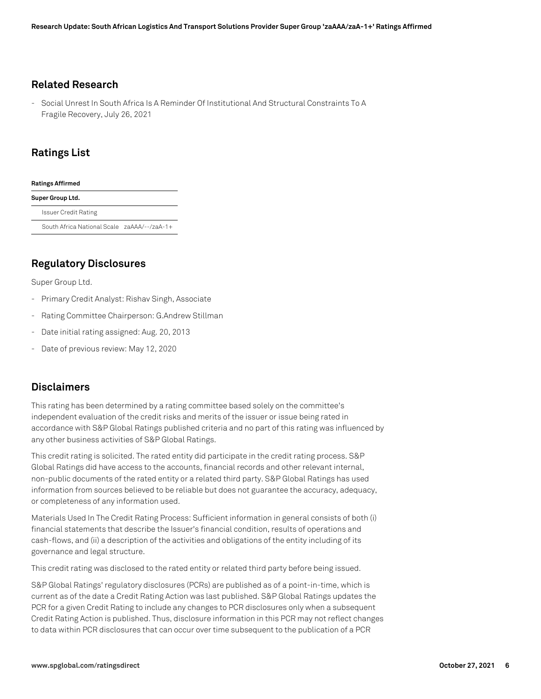## **Related Research**

- Social Unrest In South Africa Is A Reminder Of Institutional And Structural Constraints To A Fragile Recovery, July 26, 2021

## **Ratings List**

#### **Ratings Affirmed**

**Super Group Ltd.** Issuer Credit Rating South Africa National Scale zaAAA/--/zaA-1+

**Regulatory Disclosures**

Super Group Ltd.

- Primary Credit Analyst: Rishav Singh, Associate
- Rating Committee Chairperson: G.Andrew Stillman
- Date initial rating assigned: Aug. 20, 2013
- Date of previous review: May 12, 2020

## **Disclaimers**

This rating has been determined by a rating committee based solely on the committee's independent evaluation of the credit risks and merits of the issuer or issue being rated in accordance with S&P Global Ratings published criteria and no part of this rating was influenced by any other business activities of S&P Global Ratings.

This credit rating is solicited. The rated entity did participate in the credit rating process. S&P Global Ratings did have access to the accounts, financial records and other relevant internal, non-public documents of the rated entity or a related third party. S&P Global Ratings has used information from sources believed to be reliable but does not guarantee the accuracy, adequacy, or completeness of any information used.

Materials Used In The Credit Rating Process: Sufficient information in general consists of both (i) financial statements that describe the Issuer's financial condition, results of operations and cash-flows, and (ii) a description of the activities and obligations of the entity including of its governance and legal structure.

This credit rating was disclosed to the rated entity or related third party before being issued.

S&P Global Ratings' regulatory disclosures (PCRs) are published as of a point-in-time, which is current as of the date a Credit Rating Action was last published. S&P Global Ratings updates the PCR for a given Credit Rating to include any changes to PCR disclosures only when a subsequent Credit Rating Action is published. Thus, disclosure information in this PCR may not reflect changes to data within PCR disclosures that can occur over time subsequent to the publication of a PCR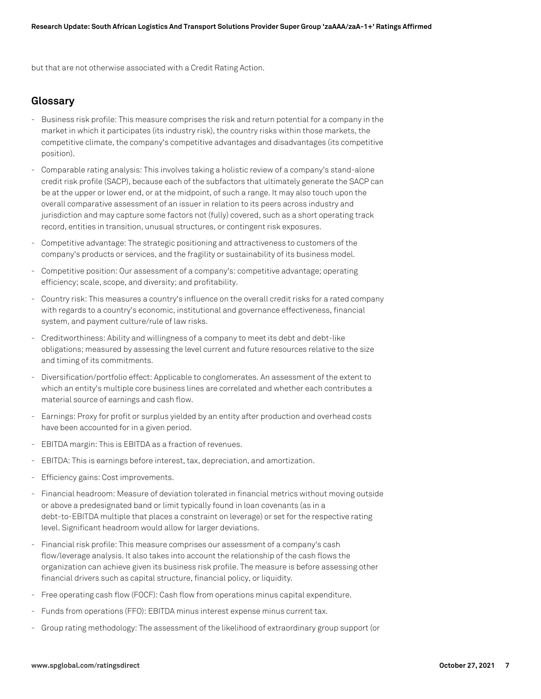but that are not otherwise associated with a Credit Rating Action.

## **Glossary**

- Business risk profile: This measure comprises the risk and return potential for a company in the market in which it participates (its industry risk), the country risks within those markets, the competitive climate, the company's competitive advantages and disadvantages (its competitive position).
- Comparable rating analysis: This involves taking a holistic review of a company's stand-alone credit risk profile (SACP), because each of the subfactors that ultimately generate the SACP can be at the upper or lower end, or at the midpoint, of such a range. It may also touch upon the overall comparative assessment of an issuer in relation to its peers across industry and jurisdiction and may capture some factors not (fully) covered, such as a short operating track record, entities in transition, unusual structures, or contingent risk exposures.
- Competitive advantage: The strategic positioning and attractiveness to customers of the company's products or services, and the fragility or sustainability of its business model.
- Competitive position: Our assessment of a company's: competitive advantage; operating efficiency; scale, scope, and diversity; and profitability.
- Country risk: This measures a country's influence on the overall credit risks for a rated company with regards to a country's economic, institutional and governance effectiveness, financial system, and payment culture/rule of law risks.
- Creditworthiness: Ability and willingness of a company to meet its debt and debt-like obligations; measured by assessing the level current and future resources relative to the size and timing of its commitments.
- Diversification/portfolio effect: Applicable to conglomerates. An assessment of the extent to which an entity's multiple core business lines are correlated and whether each contributes a material source of earnings and cash flow.
- Earnings: Proxy for profit or surplus yielded by an entity after production and overhead costs have been accounted for in a given period.
- EBITDA margin: This is EBITDA as a fraction of revenues.
- EBITDA: This is earnings before interest, tax, depreciation, and amortization.
- Efficiency gains: Cost improvements.
- Financial headroom: Measure of deviation tolerated in financial metrics without moving outside or above a predesignated band or limit typically found in loan covenants (as in a debt-to-EBITDA multiple that places a constraint on leverage) or set for the respective rating level. Significant headroom would allow for larger deviations.
- Financial risk profile: This measure comprises our assessment of a company's cash flow/leverage analysis. It also takes into account the relationship of the cash flows the organization can achieve given its business risk profile. The measure is before assessing other financial drivers such as capital structure, financial policy, or liquidity.
- Free operating cash flow (FOCF): Cash flow from operations minus capital expenditure.
- Funds from operations (FFO): EBITDA minus interest expense minus current tax.
- Group rating methodology: The assessment of the likelihood of extraordinary group support (or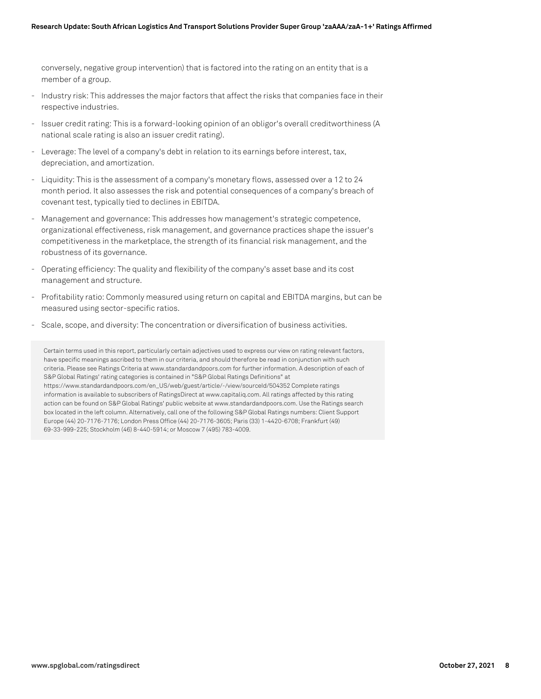conversely, negative group intervention) that is factored into the rating on an entity that is a member of a group.

- Industry risk: This addresses the major factors that affect the risks that companies face in their respective industries.
- Issuer credit rating: This is a forward-looking opinion of an obligor's overall creditworthiness (A national scale rating is also an issuer credit rating).
- Leverage: The level of a company's debt in relation to its earnings before interest, tax, depreciation, and amortization.
- Liquidity: This is the assessment of a company's monetary flows, assessed over a 12 to 24 month period. It also assesses the risk and potential consequences of a company's breach of covenant test, typically tied to declines in EBITDA.
- Management and governance: This addresses how management's strategic competence, organizational effectiveness, risk management, and governance practices shape the issuer's competitiveness in the marketplace, the strength of its financial risk management, and the robustness of its governance.
- Operating efficiency: The quality and flexibility of the company's asset base and its cost management and structure.
- Profitability ratio: Commonly measured using return on capital and EBITDA margins, but can be measured using sector-specific ratios.
- Scale, scope, and diversity: The concentration or diversification of business activities.

Certain terms used in this report, particularly certain adjectives used to express our view on rating relevant factors, have specific meanings ascribed to them in our criteria, and should therefore be read in conjunction with such criteria. Please see Ratings Criteria at www.standardandpoors.com for further information. A description of each of S&P Global Ratings' rating categories is contained in "S&P Global Ratings Definitions" at https://www.standardandpoors.com/en\_US/web/guest/article/-/view/sourceId/504352 Complete ratings information is available to subscribers of RatingsDirect at www.capitaliq.com. All ratings affected by this rating action can be found on S&P Global Ratings' public website at www.standardandpoors.com. Use the Ratings search box located in the left column. Alternatively, call one of the following S&P Global Ratings numbers: Client Support Europe (44) 20-7176-7176; London Press Office (44) 20-7176-3605; Paris (33) 1-4420-6708; Frankfurt (49) 69-33-999-225; Stockholm (46) 8-440-5914; or Moscow 7 (495) 783-4009.